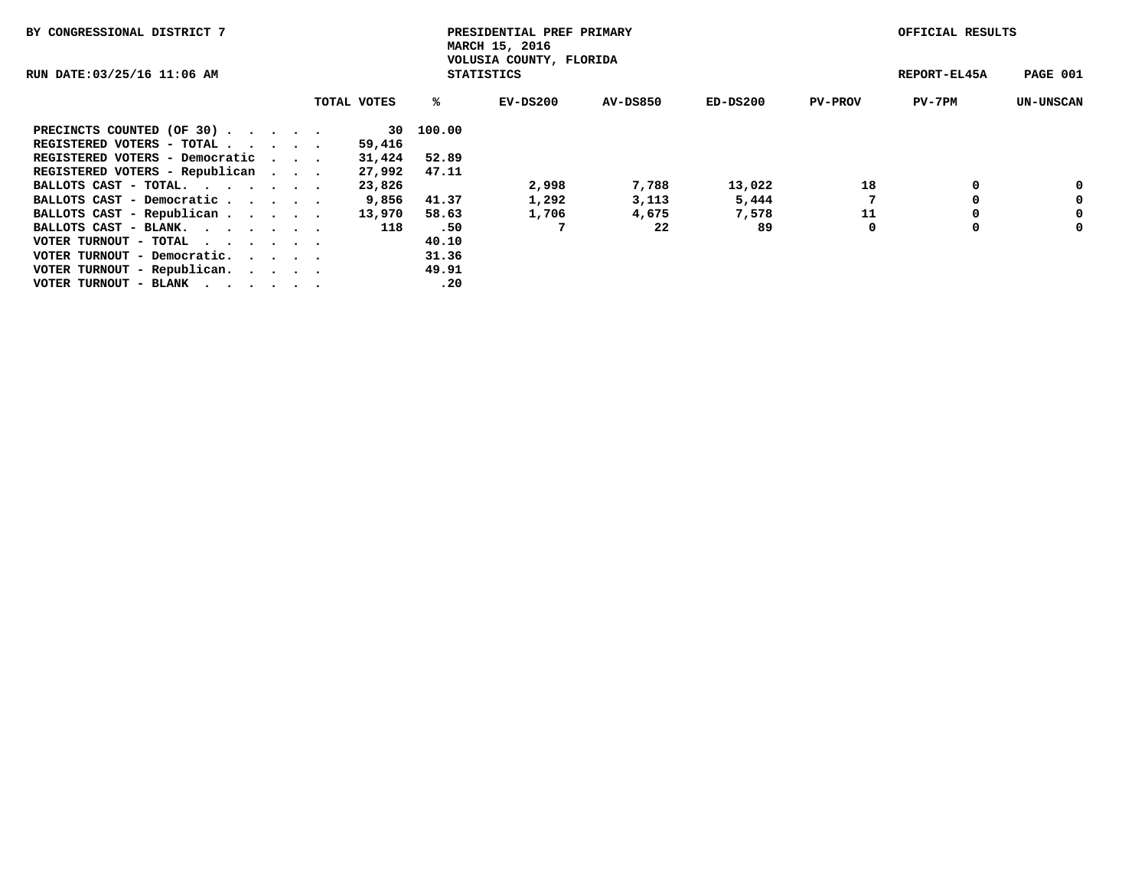| BY CONGRESSIONAL DISTRICT 7      |  |                                              |  | PRESIDENTIAL PREF PRIMARY<br>MARCH 15, 2016 |        |            |          |            |                |          | OFFICIAL RESULTS |  |  |
|----------------------------------|--|----------------------------------------------|--|---------------------------------------------|--------|------------|----------|------------|----------------|----------|------------------|--|--|
| RUN DATE:03/25/16 11:06 AM       |  | VOLUSIA COUNTY, FLORIDA<br><b>STATISTICS</b> |  |                                             |        |            |          |            | REPORT-EL45A   | PAGE 001 |                  |  |  |
|                                  |  |                                              |  | TOTAL VOTES                                 | ℁      | $EV-DS200$ | AV-DS850 | $ED-DS200$ | <b>PV-PROV</b> | PV-7PM   | <b>UN-UNSCAN</b> |  |  |
| PRECINCTS COUNTED (OF 30)        |  |                                              |  | 30                                          | 100.00 |            |          |            |                |          |                  |  |  |
| REGISTERED VOTERS - TOTAL        |  |                                              |  | 59,416                                      |        |            |          |            |                |          |                  |  |  |
| REGISTERED VOTERS - Democratic   |  |                                              |  | 31,424                                      | 52.89  |            |          |            |                |          |                  |  |  |
| REGISTERED VOTERS - Republican   |  |                                              |  | 27,992                                      | 47.11  |            |          |            |                |          |                  |  |  |
| BALLOTS CAST - TOTAL.            |  |                                              |  | 23,826                                      |        | 2,998      | 7,788    | 13,022     | 18             | 0        | 0                |  |  |
| BALLOTS CAST - Democratic        |  |                                              |  | 9,856                                       | 41.37  | 1,292      | 3,113    | 5,444      |                |          | 0                |  |  |
| BALLOTS CAST - Republican        |  |                                              |  | 13,970                                      | 58.63  | 1,706      | 4,675    | 7,578      | 11             |          | 0                |  |  |
| BALLOTS CAST - BLANK.            |  |                                              |  | 118                                         | .50    |            | 22       | 89         | 0              | 0        | 0                |  |  |
| VOTER TURNOUT - TOTAL<br>$\cdot$ |  |                                              |  |                                             | 40.10  |            |          |            |                |          |                  |  |  |
| VOTER TURNOUT - Democratic.      |  |                                              |  |                                             | 31.36  |            |          |            |                |          |                  |  |  |
| VOTER TURNOUT - Republican.      |  |                                              |  |                                             | 49.91  |            |          |            |                |          |                  |  |  |
| VOTER TURNOUT - BLANK            |  |                                              |  |                                             | .20    |            |          |            |                |          |                  |  |  |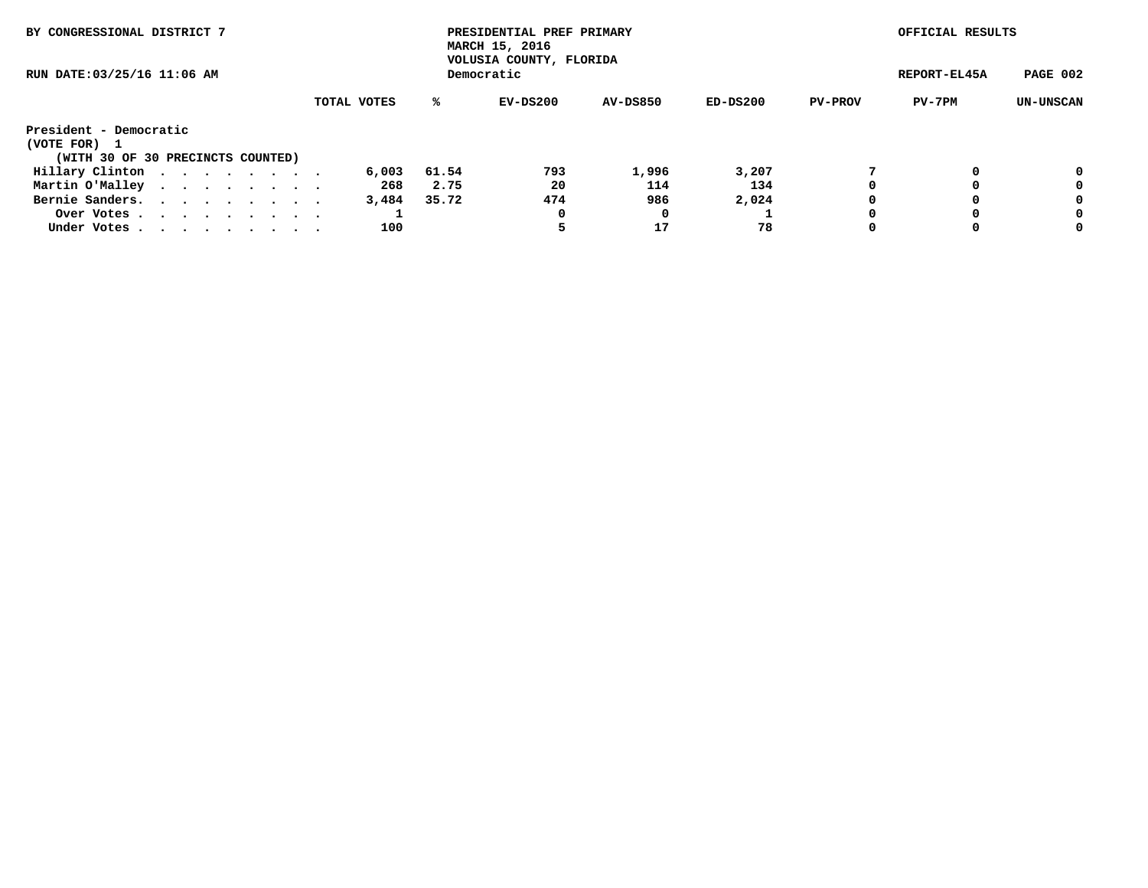| BY CONGRESSIONAL DISTRICT 7       | PRESIDENTIAL PREF PRIMARY<br>MARCH 15, 2016<br>VOLUSIA COUNTY, FLORIDA |              |          |                 |          |                | OFFICIAL RESULTS |                  |
|-----------------------------------|------------------------------------------------------------------------|--------------|----------|-----------------|----------|----------------|------------------|------------------|
| RUN DATE: 03/25/16 11:06 AM       |                                                                        | REPORT-EL45A | PAGE 002 |                 |          |                |                  |                  |
|                                   | TOTAL VOTES                                                            | ℁            | EV-DS200 | <b>AV-DS850</b> | ED-DS200 | <b>PV-PROV</b> | PV-7PM           | <b>UN-UNSCAN</b> |
| President - Democratic            |                                                                        |              |          |                 |          |                |                  |                  |
| (VOTE FOR)<br>$\mathbf{1}$        |                                                                        |              |          |                 |          |                |                  |                  |
| (WITH 30 OF 30 PRECINCTS COUNTED) |                                                                        |              |          |                 |          |                |                  |                  |
| Hillary Clinton                   | 6,003                                                                  | 61.54        | 793      | 1,996           | 3,207    |                | 0                | 0                |
| Martin O'Malley                   | 268                                                                    | 2.75         | 20       | 114             | 134      |                |                  | 0                |
| Bernie Sanders.                   | 3,484                                                                  | 35.72        | 474      | 986             | 2,024    |                |                  | 0                |
| Over Votes                        |                                                                        |              |          |                 |          |                |                  | 0                |
| Under Votes                       | 100                                                                    |              |          | 17              | 78       | 0              | 0                | 0                |